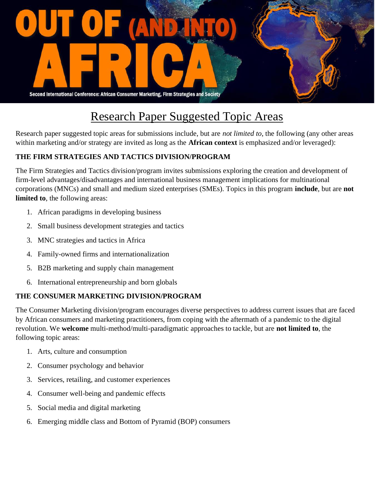

## Research Paper Suggested Topic Areas

Research paper suggested topic areas for submissions include, but are *not limited to*, the following (any other areas within marketing and/or strategy are invited as long as the **African context** is emphasized and/or leveraged):

## **THE FIRM STRATEGIES AND TACTICS DIVISION/PROGRAM**

The Firm Strategies and Tactics division/program invites submissions exploring the creation and development of firm-level advantages/disadvantages and international business management implications for multinational corporations (MNCs) and small and medium sized enterprises (SMEs). Topics in this program **include**, but are **not limited to**, the following areas:

- 1. African paradigms in developing business
- 2. Small business development strategies and tactics
- 3. MNC strategies and tactics in Africa
- 4. Family-owned firms and internationalization
- 5. B2B marketing and supply chain management
- 6. International entrepreneurship and born globals

## **THE CONSUMER MARKETING DIVISION/PROGRAM**

The Consumer Marketing division/program encourages diverse perspectives to address current issues that are faced by African consumers and marketing practitioners, from coping with the aftermath of a pandemic to the digital revolution. We **welcome** multi-method/multi-paradigmatic approaches to tackle, but are **not limited to**, the following topic areas:

- 1. Arts, culture and consumption
- 2. Consumer psychology and behavior
- 3. Services, retailing, and customer experiences
- 4. Consumer well-being and pandemic effects
- 5. Social media and digital marketing
- 6. Emerging middle class and Bottom of Pyramid (BOP) consumers